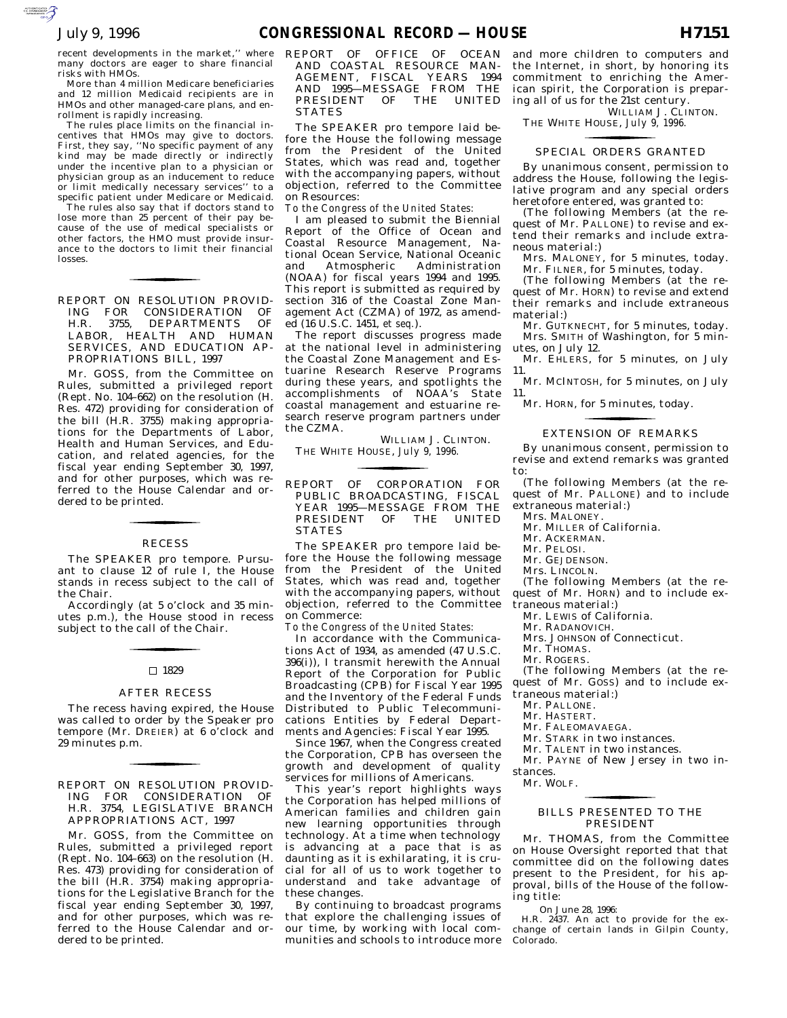$\mathcal{F}$ 

recent developments in the market,'' where many doctors are eager to share financial risks with HMOs.

More than 4 million Medicare beneficiaries and 12 million Medicaid recipients are in HMOs and other managed-care plans, and enrollment is rapidly increasing.

The rules place limits on the financial incentives that HMOs may give to doctors. First, they say, ''No specific payment of any kind may be made directly or indirectly under the incentive plan to a physician or physician group as an inducement to reduce or limit medically necessary services'' to a specific patient under Medicare or Medicaid.

The rules also say that if doctors stand to lose more than 25 percent of their pay because of the use of medical specialists or other factors, the HMO must provide insurance to the doctors to limit their financial losses.

for the control of the control of

REPORT ON RESOLUTION PROVID-ING FOR CONSIDERATION OF H.R. 3755, DEPARTMENTS OF LABOR, HEALTH AND HUMAN SERVICES, AND EDUCATION AP-PROPRIATIONS BILL, 1997

Mr. GOSS, from the Committee on Rules, submitted a privileged report (Rept. No. 104–662) on the resolution (H. Res. 472) providing for consideration of the bill (H.R. 3755) making appropriations for the Departments of Labor, Health and Human Services, and Education, and related agencies, for the fiscal year ending September 30, 1997, and for other purposes, which was referred to the House Calendar and ordered to be printed.

# for the control of the control of RECESS

The SPEAKER pro tempore. Pursuant to clause  $12$  of rule  $\hat{I}$ , the House stands in recess subject to the call of the Chair.

Accordingly (at 5 o'clock and 35 minutes p.m.), the House stood in recess subject to the call of the Chair.

#### $\square$  1829

### AFTER RECESS

The recess having expired, the House was called to order by the Speaker pro tempore (Mr. DREIER) at 6 o'clock and 29 minutes p.m.

for the control of the control of

REPORT ON RESOLUTION PROVID-ING FOR CONSIDERATION OF H.R. 3754, LEGISLATIVE BRANCH APPROPRIATIONS ACT, 1997

Mr. GOSS, from the Committee on Rules, submitted a privileged report (Rept. No. 104–663) on the resolution (H. Res. 473) providing for consideration of the bill (H.R. 3754) making appropriations for the Legislative Branch for the fiscal year ending September 30, 1997, and for other purposes, which was referred to the House Calendar and ordered to be printed.

REPORT OF OFFICE OF OCEAN AND COASTAL RESOURCE MAN-AGEMENT, FISCAL YEARS 1994 AND 1995—MESSAGE FROM THE PRESIDENT OF THE UNITED **STATES** 

The SPEAKER pro tempore laid before the House the following message from the President of the United States, which was read and, together with the accompanying papers, without objection, referred to the Committee on Resources:

*To the Congress of the United States:*

I am pleased to submit the Biennial Report of the Office of Ocean and Coastal Resource Management, National Ocean Service, National Oceanic and Atmospheric Administration (NOAA) for fiscal years 1994 and 1995. This report is submitted as required by section 316 of the Coastal Zone Management Act (CZMA) of 1972, as amended (16 U.S.C. 1451, *et seq.*).

The report discusses progress made at the national level in administering the Coastal Zone Management and Estuarine Research Reserve Programs during these years, and spotlights the accomplishments of NOAA's State coastal management and estuarine research reserve program partners under the CZMA.

WILLIAM J. CLINTON. THE WHITE HOUSE, *July 9, 1996.* 

REPORT OF CORPORATION FOR PUBLIC BROADCASTING, FISCAL YEAR 1995—MESSAGE FROM THE PRESIDENT OF THE UNITED STATES

The SPEAKER pro tempore laid before the House the following message from the President of the United States, which was read and, together with the accompanying papers, without objection, referred to the Committee on Commerce:

*To the Congress of the United States:*

In accordance with the Communications Act of 1934, as amended (47 U.S.C. 396(i)), I transmit herewith the Annual Report of the Corporation for Public Broadcasting (CPB) for Fiscal Year 1995 and the Inventory of the Federal Funds Distributed to Public Telecommunications Entities by Federal Departments and Agencies: Fiscal Year 1995.

Since 1967, when the Congress created the Corporation, CPB has overseen the growth and development of quality services for millions of Americans.

This year's report highlights ways the Corporation has helped millions of American families and children gain new learning opportunities through technology. At a time when technology is advancing at a pace that is as daunting as it is exhilarating, it is crucial for all of us to work together to understand and take advantage of these changes.

By continuing to broadcast programs that explore the challenging issues of our time, by working with local communities and schools to introduce more

and more children to computers and the Internet, in short, by honoring its commitment to enriching the American spirit, the Corporation is preparing all of us for the 21st century.

WILLIAM J. CLINTON. THE WHITE HOUSE, *July 9, 1996.* 

### SPECIAL ORDERS GRANTED

By unanimous consent, permission to address the House, following the legislative program and any special orders heretofore entered, was granted to:

(The following Members (at the request of Mr. PALLONE) to revise and extend their remarks and include extraneous material:)

Mrs. MALONEY, for 5 minutes, today. Mr. FILNER, for 5 minutes, today.

(The following Members (at the request of Mr. HORN) to revise and extend their remarks and include extraneous material:)

Mr. GUTKNECHT, for 5 minutes, today. Mrs. SMITH of Washington, for 5 minutes, on July 12.

Mr. EHLERS, for 5 minutes, on July 11.

Mr. MCINTOSH, for 5 minutes, on July 11.

Mr. H ORN, for 5 minutes, today.

# EXTENSION OF REMARKS for the control of the control of

By unanimous consent, permission to revise and extend remarks was granted to:

(The following Members (at the request of Mr. PALLONE) and to include extraneous material:)

Mrs. MALONEY.

- Mr. MILLER of California.
- Mr. ACKERMAN.
- Mr. PELOSI.
- Mr. GEJDENSON. Mrs. LINCOLN.
- 

(The following Members (at the request of Mr. HORN) and to include extraneous material:)

Mr. LEWIS of California.

Mr. RADANOVICH.

- Mrs. JOHNSON of Connecticut.
- Mr. THOMAS.

Mr. ROGERS.

(The following Members (at the re-

quest of Mr. GOSS) and to include extraneous material:)

- Mr. PALLONE.
- Mr. HASTERT.
- Mr. FALEOMAVAEGA.
- Mr. STARK in two instances.

Mr. TALENT in two instances.

Mr. PAYNE of New Jersey in two instances.

Mr. W OLF.

## BILLS PRESENTED TO THE for the control of the control of PRESIDENT

Mr. THOMAS, from the Committee on House Oversight reported that that committee did on the following dates present to the President, for his approval, bills of the House of the following title:

On June 28, 1996:

H.R. 2437. An act to provide for the exchange of certain lands in Gilpin County, Colorado.